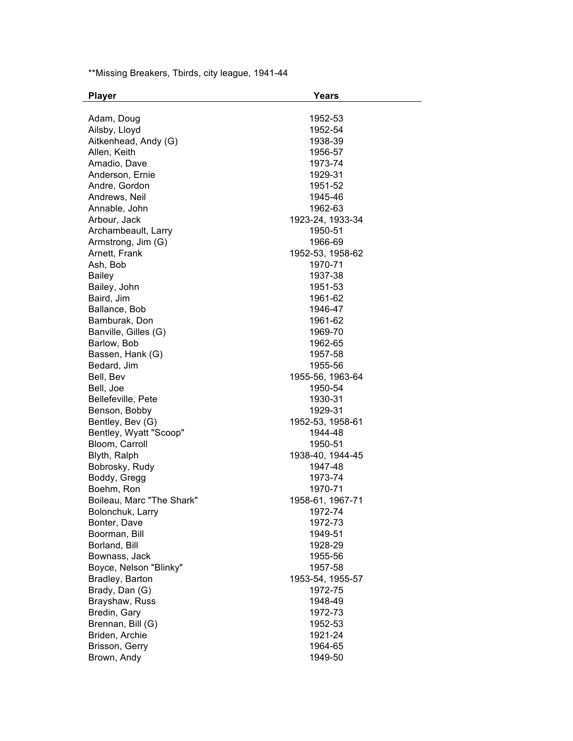\*\*Missing Breakers, Tbirds, city league, 1941-44

| <b>Player</b>              | <b>Years</b>                |
|----------------------------|-----------------------------|
|                            |                             |
| Adam, Doug                 | 1952-53                     |
| Ailsby, Lloyd              | 1952-54                     |
| Aitkenhead, Andy (G)       | 1938-39                     |
| Allen, Keith               | 1956-57                     |
| Amadio, Dave               | 1973-74                     |
| Anderson, Ernie            | 1929-31                     |
| Andre, Gordon              | 1951-52                     |
| Andrews, Neil              | 1945-46                     |
| Annable, John              | 1962-63                     |
| Arbour, Jack               | 1923-24, 1933-34            |
| Archambeault, Larry        | 1950-51                     |
| Armstrong, Jim (G)         | 1966-69                     |
| Arnett, Frank              | 1952-53, 1958-62            |
| Ash, Bob                   | 1970-71                     |
| <b>Bailey</b>              | 1937-38                     |
| Bailey, John               | 1951-53                     |
| Baird, Jim                 | 1961-62                     |
| Ballance, Bob              | 1946-47                     |
| Bamburak, Don              | 1961-62                     |
| Banville, Gilles (G)       | 1969-70                     |
| Barlow, Bob                | 1962-65                     |
| Bassen, Hank (G)           | 1957-58                     |
| Bedard, Jim                | 1955-56                     |
| Bell, Bev                  | 1955-56, 1963-64            |
| Bell, Joe                  | 1950-54                     |
| Bellefeville, Pete         | 1930-31                     |
| Benson, Bobby              | 1929-31                     |
| Bentley, Bev (G)           | 1952-53, 1958-61            |
| Bentley, Wyatt "Scoop"     | 1944-48                     |
| Bloom, Carroll             | 1950-51                     |
| Blyth, Ralph               | 1938-40, 1944-45            |
| Bobrosky, Rudy             | 1947-48                     |
|                            | 1973-74                     |
| Boddy, Gregg<br>Boehm, Ron |                             |
| Boileau, Marc "The Shark"  | 1970-71                     |
|                            | 1958-61, 1967-71<br>1972-74 |
| Bolonchuk, Larry           |                             |
| Bonter, Dave               | 1972-73                     |
| Boorman, Bill              | 1949-51                     |
| Borland, Bill              | 1928-29                     |
| Bownass, Jack              | 1955-56                     |
| Boyce, Nelson "Blinky"     | 1957-58                     |
| Bradley, Barton            | 1953-54, 1955-57            |
| Brady, Dan (G)             | 1972-75                     |
| Brayshaw, Russ             | 1948-49                     |
| Bredin, Gary               | 1972-73                     |
| Brennan, Bill (G)          | 1952-53                     |
| Briden, Archie             | 1921-24                     |
| Brisson, Gerry             | 1964-65                     |
| Brown, Andy                | 1949-50                     |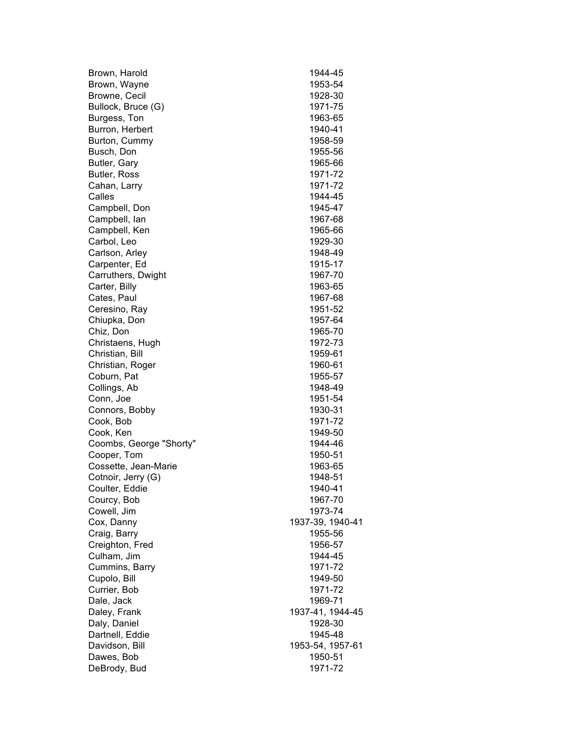| Brown, Harold           | 1944-45          |
|-------------------------|------------------|
| Brown, Wayne            | 1953-54          |
| Browne, Cecil           | 1928-30          |
| Bullock, Bruce (G)      | 1971-75          |
| Burgess, Ton            | 1963-65          |
| Burron, Herbert         | 1940-41          |
| Burton, Cummy           | 1958-59          |
| Busch, Don              | 1955-56          |
| Butler, Gary            | 1965-66          |
| Butler, Ross            | 1971-72          |
| Cahan, Larry            | 1971-72          |
| Calles                  | 1944-45          |
| Campbell, Don           | 1945-47          |
| Campbell, Ian           | 1967-68          |
| Campbell, Ken           | 1965-66          |
| Carbol, Leo             | 1929-30          |
| Carlson, Arley          | 1948-49          |
| Carpenter, Ed           | 1915-17          |
| Carruthers, Dwight      | 1967-70          |
| Carter, Billy           | 1963-65          |
| Cates, Paul             | 1967-68          |
| Ceresino, Ray           | 1951-52          |
| Chiupka, Don            | 1957-64          |
| Chiz, Don               | 1965-70          |
| Christaens, Hugh        | 1972-73          |
| Christian, Bill         | 1959-61          |
| Christian, Roger        | 1960-61          |
| Coburn, Pat             | 1955-57          |
| Collings, Ab            | 1948-49          |
| Conn, Joe               | 1951-54          |
| Connors, Bobby          | 1930-31          |
| Cook, Bob               | 1971-72          |
| Cook, Ken               | 1949-50          |
| Coombs, George "Shorty" | 1944-46          |
| Cooper, Tom             | 1950-51          |
| Cossette, Jean-Marie    | 1963-65          |
| Cotnoir, Jerry (G)      | 1948-51          |
| Coulter, Eddie          | 1940-41          |
| Courcy, Bob             | 1967-70          |
| Cowell, Jim             | 1973-74          |
| Cox, Danny              | 1937-39, 1940-41 |
| Craig, Barry            | 1955-56          |
| Creighton, Fred         | 1956-57          |
| Culham, Jim             | 1944-45          |
| Cummins, Barry          | 1971-72          |
| Cupolo, Bill            | 1949-50          |
| Currier, Bob            | 1971-72          |
| Dale, Jack              | 1969-71          |
| Daley, Frank            | 1937-41, 1944-45 |
| Daly, Daniel            | 1928-30          |
| Dartnell, Eddie         | 1945-48          |
| Davidson, Bill          | 1953-54, 1957-61 |
| Dawes, Bob              | 1950-51          |
| DeBrody, Bud            | 1971-72          |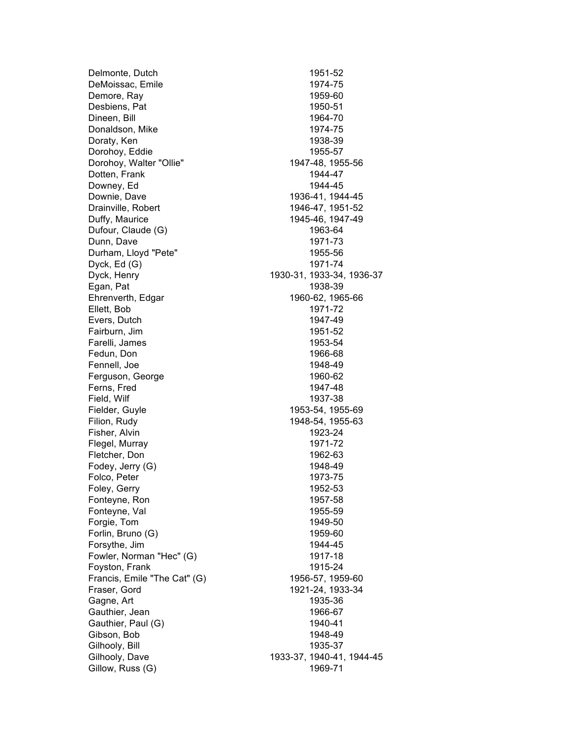Delmonte, Dutch 1951-52 DeMoissac, Emile 1974-75 Demore, Ray 1959-60 Desbiens, Pat 1950-51 Dineen, Bill 1964-70 Donaldson, Mike 1974-75 Doraty, Ken 1938-39 Dorohoy, Eddie 1955-57 Dorohoy, Walter "Ollie" 1947-48, 1955-56 Dotten, Frank 1944-47 Downey, Ed 1944-45 Downie, Dave 1936-41, 1944-45 Drainville, Robert 1946-47, 1951-52 Duffy, Maurice 1945-46, 1947-49 Dufour, Claude (G) 1963-64 Dunn, Dave 1971-73 Durham, Lloyd "Pete" 1955-56 Dyck, Ed (G) 1971-74 Dyck, Henry 1930-31, 1933-34, 1936-37 Egan, Pat 1938-39 Ehrenverth, Edgar 1960-62, 1965-66 Ellett, Bob 1971-72 Evers, Dutch 1947-49 Fairburn, Jim 1951-52 Farelli, James 1953-54 Fedun, Don 1966-68 Fennell, Joe 1948-49 Ferguson, George 1960-62 Ferns, Fred 1947-48 Field, Wilf 1937-38 Fielder, Guyle 1953-54, 1955-69 Filion, Rudy 1948-54, 1955-63 Fisher, Alvin 1923-24 Flegel, Murray 1971-72 Fletcher, Don 1962-63 Fodey, Jerry (G) 1948-49 Folco, Peter 2008 and 2009 and 2009 and 2012 and 2013-75 Foley, Gerry 2008 2009 1952-53 Fonteyne, Ron 1957-58 Fonteyne, Val 1955-59 Forgie, Tom 1949-50 Forlin, Bruno (G) 1959-60 Forsythe, Jim 1944-45 Fowler, Norman "Hec" (G) 1917-18 Foyston, Frank 1915-24 Francis, Emile "The Cat" (G) 1956-57, 1959-60 Fraser, Gord 1921-24, 1933-34 Gagne, Art 1935-36 Gauthier, Jean 1966-67 Gauthier, Paul (G) 1940-41 Gibson, Bob 1948-49 Gilhooly, Bill 1935-37 Gilhooly, Dave 1933-37, 1940-41, 1944-45 Gillow, Russ (G) 1969-71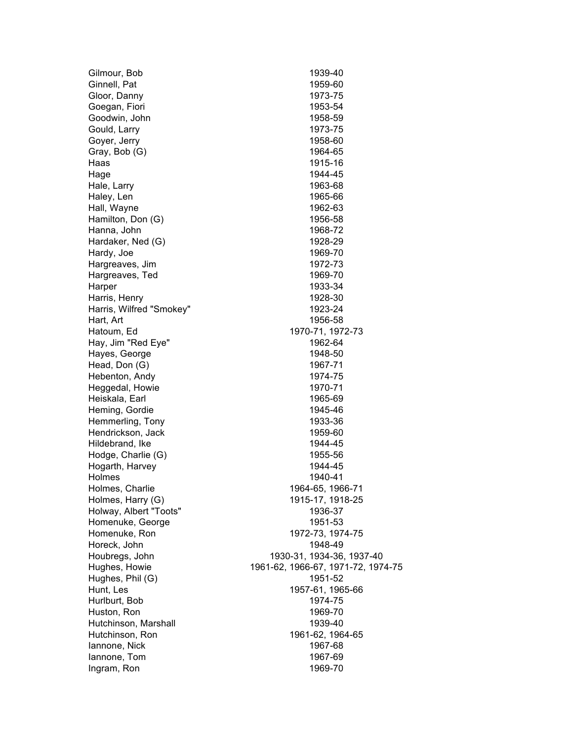| Gilmour, Bob             | 1939-40                            |
|--------------------------|------------------------------------|
| Ginnell, Pat             | 1959-60                            |
| Gloor, Danny             | 1973-75                            |
| Goegan, Fiori            | 1953-54                            |
| Goodwin, John            | 1958-59                            |
| Gould, Larry             | 1973-75                            |
| Goyer, Jerry             | 1958-60                            |
| Gray, Bob (G)            | 1964-65                            |
| Haas                     | 1915-16                            |
| Hage                     | 1944-45                            |
| Hale, Larry              | 1963-68                            |
| Haley, Len               | 1965-66                            |
| Hall, Wayne              | 1962-63                            |
| Hamilton, Don (G)        | 1956-58                            |
| Hanna, John              | 1968-72                            |
| Hardaker, Ned (G)        | 1928-29                            |
| Hardy, Joe               | 1969-70                            |
| Hargreaves, Jim          | 1972-73                            |
| Hargreaves, Ted          | 1969-70                            |
| Harper                   | 1933-34                            |
| Harris, Henry            | 1928-30                            |
| Harris, Wilfred "Smokey" | 1923-24                            |
| Hart, Art                | 1956-58                            |
| Hatoum, Ed               | 1970-71, 1972-73                   |
| Hay, Jim "Red Eye"       | 1962-64                            |
| Hayes, George            | 1948-50                            |
| Head, Don (G)            | 1967-71                            |
| Hebenton, Andy           | 1974-75                            |
| Heggedal, Howie          | 1970-71                            |
| Heiskala, Earl           | 1965-69                            |
| Heming, Gordie           | 1945-46                            |
| Hemmerling, Tony         | 1933-36                            |
| Hendrickson, Jack        | 1959-60                            |
| Hildebrand, Ike          | 1944-45                            |
| Hodge, Charlie (G)       | 1955-56                            |
| Hogarth, Harvey          | 1944-45                            |
| Holmes                   | 1940-41                            |
| Holmes, Charlie          | 1964-65, 1966-71                   |
| Holmes, Harry (G)        | 1915-17, 1918-25                   |
| Holway, Albert "Toots"   | 1936-37                            |
| Homenuke, George         | 1951-53                            |
| Homenuke, Ron            | 1972-73, 1974-75                   |
| Horeck, John             | 1948-49                            |
| Houbregs, John           | 1930-31, 1934-36, 1937-40          |
| Hughes, Howie            | 1961-62, 1966-67, 1971-72, 1974-75 |
| Hughes, Phil (G)         | 1951-52                            |
| Hunt, Les                | 1957-61, 1965-66                   |
| Hurlburt, Bob            | 1974-75                            |
| Huston, Ron              | 1969-70                            |
| Hutchinson, Marshall     | 1939-40                            |
| Hutchinson, Ron          | 1961-62, 1964-65                   |
| lannone, Nick            | 1967-68                            |
| lannone, Tom             | 1967-69                            |
| Ingram, Ron              | 1969-70                            |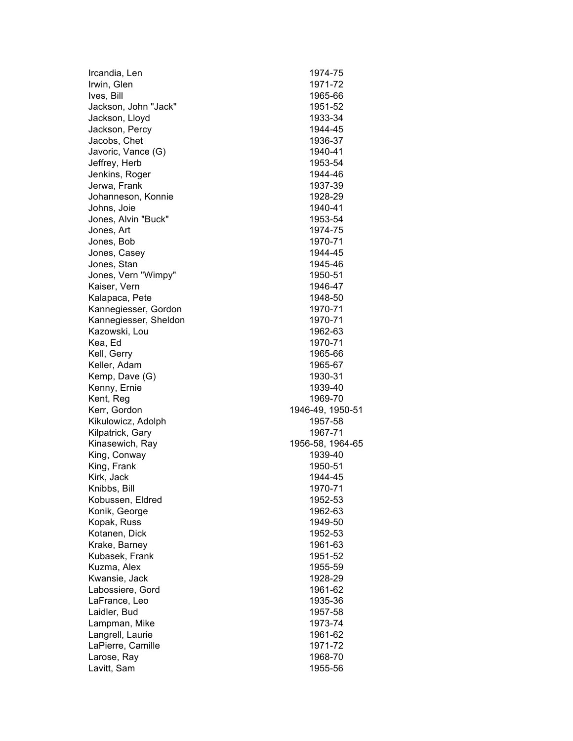| Ircandia, Len         | 1974-75          |
|-----------------------|------------------|
| Irwin, Glen           | 1971-72          |
| Ives, Bill            | 1965-66          |
| Jackson, John "Jack"  | 1951-52          |
| Jackson, Lloyd        | 1933-34          |
| Jackson, Percy        | 1944-45          |
| Jacobs, Chet          | 1936-37          |
| Javoric, Vance (G)    | 1940-41          |
| Jeffrey, Herb         | 1953-54          |
| Jenkins, Roger        | 1944-46          |
| Jerwa, Frank          | 1937-39          |
| Johanneson, Konnie    | 1928-29          |
| Johns, Joie           | 1940-41          |
| Jones, Alvin "Buck"   | 1953-54          |
| Jones, Art            | 1974-75          |
| Jones, Bob            | 1970-71          |
| Jones, Casey          | 1944-45          |
| Jones, Stan           | 1945-46          |
| Jones, Vern "Wimpy"   | 1950-51          |
| Kaiser, Vern          | 1946-47          |
| Kalapaca, Pete        | 1948-50          |
| Kannegiesser, Gordon  | 1970-71          |
| Kannegiesser, Sheldon | 1970-71          |
| Kazowski, Lou         | 1962-63          |
| Kea, Ed               | 1970-71          |
| Kell, Gerry           | 1965-66          |
| Keller, Adam          | 1965-67          |
| Kemp, Dave (G)        | 1930-31          |
| Kenny, Ernie          | 1939-40          |
| Kent, Reg             | 1969-70          |
| Kerr, Gordon          | 1946-49, 1950-51 |
| Kikulowicz, Adolph    | 1957-58          |
| Kilpatrick, Gary      | 1967-71          |
| Kinasewich, Ray       | 1956-58, 1964-65 |
| King, Conway          | 1939-40          |
| King, Frank           | 1950-51          |
| Kirk, Jack            | 1944-45          |
| Knibbs, Bill          | 1970-71          |
| Kobussen, Eldred      | 1952-53          |
| Konik, George         | 1962-63          |
| Kopak, Russ           | 1949-50          |
| Kotanen, Dick         | 1952-53          |
| Krake, Barney         | 1961-63          |
| Kubasek, Frank        | 1951-52          |
| Kuzma, Alex           | 1955-59          |
| Kwansie, Jack         | 1928-29          |
| Labossiere, Gord      | 1961-62          |
| LaFrance, Leo         | 1935-36          |
| Laidler, Bud          | 1957-58          |
| Lampman, Mike         | 1973-74          |
| Langrell, Laurie      | 1961-62          |
| LaPierre, Camille     | 1971-72          |
| Larose, Ray           | 1968-70          |
| Lavitt, Sam           | 1955-56          |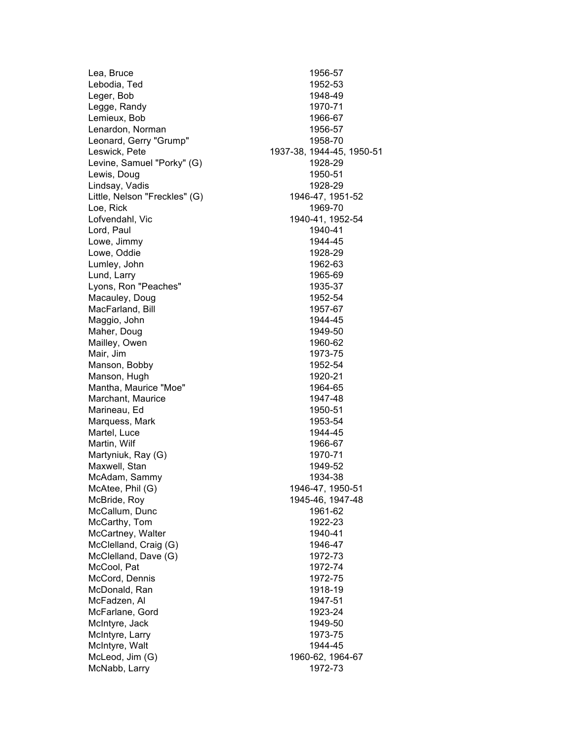Lea, Bruce 1956-57 Lebodia, Ted 1952-53 Leger, Bob 1948-49 Legge, Randy 1970-71 Lemieux, Bob 1966-67 Lenardon, Norman 1956-57 Leonard, Gerry "Grump" 1958-70 Leswick, Pete 1937-38, 1944-45, 1950-51 Levine, Samuel "Porky" (G) 1928-29 Lewis, Doug 1950-51 Lindsay, Vadis 1928-29 Little, Nelson "Freckles" (G) 1946-47, 1951-52 Loe, Rick 1969-70 Lofvendahl, Vic 1940-41, 1952-54 Lord, Paul 1940-41 Lowe, Jimmy 1944-45 Lowe, Oddie 1928-29 Lumley, John 1962-63 Lund, Larry 1965-69 Lyons, Ron "Peaches" 1935-37 Macauley, Doug 1952-54 MacFarland, Bill 1957-67 Maggio, John 1944-45 Maher, Doug 1949-50 Mailley, Owen 1960-62 Mair, Jim 1973-75 Manson, Bobby 1952-54 Manson, Hugh 1920-21 Mantha, Maurice "Moe" 1964-65 Marchant, Maurice 1947-48 Marineau, Ed 1950-51 Marquess, Mark 1953-54 Martel, Luce 1944-45 Martin, Wilf 1966-67 Martyniuk, Ray (G) 1970-71 Maxwell, Stan 1949-52 McAdam, Sammy 1934-38 McAtee, Phil (G) 1946-47, 1950-51 McBride, Roy 1945-46, 1947-48 McCallum, Dunc 1961-62 McCarthy, Tom 1922-23 McCartney, Walter 1940-41 McClelland, Craig (G) 1946-47 McClelland, Dave (G) 1972-73 McCool, Pat 1972-74 McCord, Dennis 1972-75 McDonald, Ran 1918-19 McFadzen, Al 1947-51 McFarlane, Gord 1923-24 McIntyre, Jack 2012 1949-50 McIntyre, Larry 1973-75 McIntyre, Walt 1944-45 McLeod, Jim (G) 1960-62, 1964-67 McNabb, Larry 1972-73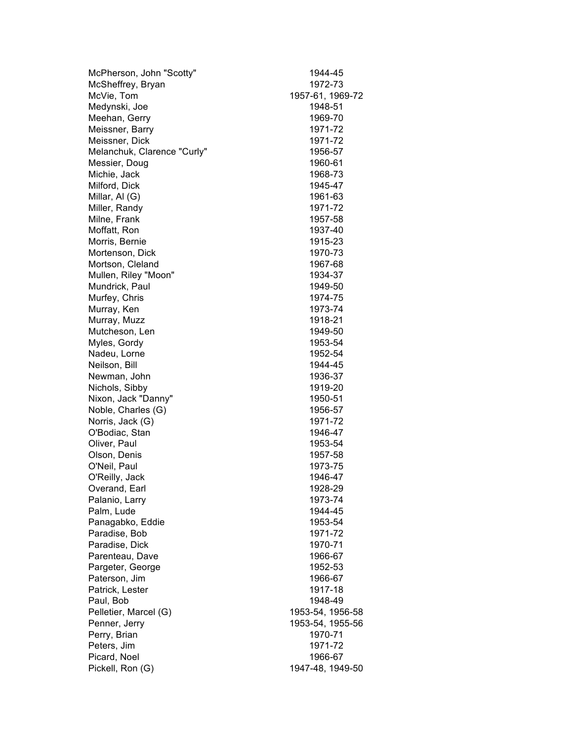| McPherson, John "Scotty"    | 1944-45          |
|-----------------------------|------------------|
| McSheffrey, Bryan           | 1972-73          |
| McVie, Tom                  | 1957-61, 1969-72 |
| Medynski, Joe               | 1948-51          |
| Meehan, Gerry               | 1969-70          |
| Meissner, Barry             | 1971-72          |
| Meissner, Dick              | 1971-72          |
| Melanchuk, Clarence "Curly" | 1956-57          |
| Messier, Doug               | 1960-61          |
| Michie, Jack                | 1968-73          |
| Milford, Dick               | 1945-47          |
| Millar, Al (G)              | 1961-63          |
| Miller, Randy               | 1971-72          |
| Milne, Frank                | 1957-58          |
| Moffatt, Ron                | 1937-40          |
| Morris, Bernie              | 1915-23          |
| Mortenson, Dick             | 1970-73          |
| Mortson, Cleland            | 1967-68          |
| Mullen, Riley "Moon"        | 1934-37          |
| Mundrick, Paul              | 1949-50          |
| Murfey, Chris               | 1974-75          |
| Murray, Ken                 | 1973-74          |
| Murray, Muzz                | 1918-21          |
| Mutcheson, Len              | 1949-50          |
| Myles, Gordy                | 1953-54          |
| Nadeu, Lorne                | 1952-54          |
| Neilson, Bill               | 1944-45          |
| Newman, John                | 1936-37          |
| Nichols, Sibby              | 1919-20          |
| Nixon, Jack "Danny"         | 1950-51          |
| Noble, Charles (G)          | 1956-57          |
| Norris, Jack (G)            | 1971-72          |
| O'Bodiac, Stan              | 1946-47          |
| Oliver, Paul                | 1953-54          |
| Olson, Denis                | 1957-58          |
| O'Neil, Paul                | 1973-75          |
| O'Reilly, Jack              | 1946-47          |
| Overand, Earl               | 1928-29          |
| Palanio, Larry              | 1973-74          |
| Palm, Lude                  | 1944-45          |
| Panagabko, Eddie            | 1953-54          |
| Paradise, Bob               | 1971-72          |
| Paradise, Dick              | 1970-71          |
| Parenteau, Dave             | 1966-67          |
| Pargeter, George            | 1952-53          |
| Paterson, Jim               | 1966-67          |
| Patrick, Lester             | 1917-18          |
| Paul, Bob                   | 1948-49          |
| Pelletier, Marcel (G)       | 1953-54, 1956-58 |
| Penner, Jerry               | 1953-54, 1955-56 |
| Perry, Brian                | 1970-71          |
| Peters, Jim                 | 1971-72          |
| Picard, Noel                | 1966-67          |
| Pickell, Ron (G)            | 1947-48, 1949-50 |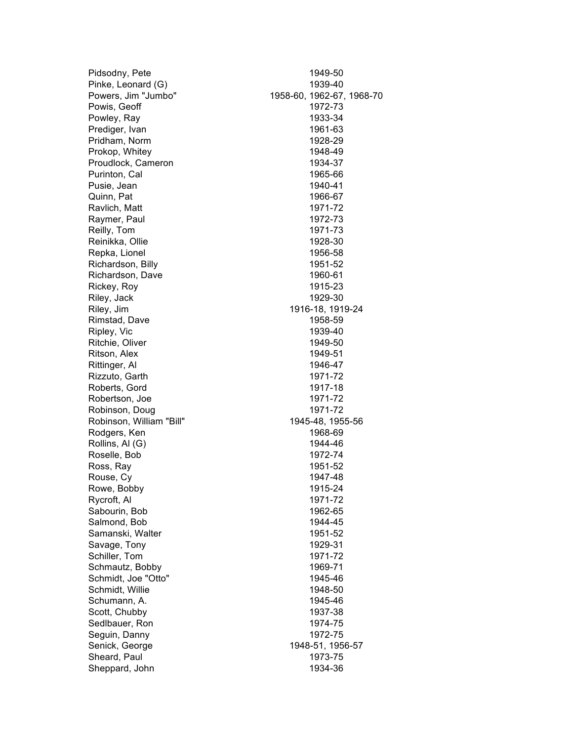| Pidsodny, Pete           | 1949-50                   |
|--------------------------|---------------------------|
| Pinke, Leonard (G)       | 1939-40                   |
| Powers, Jim "Jumbo"      | 1958-60, 1962-67, 1968-70 |
| Powis, Geoff             | 1972-73                   |
| Powley, Ray              | 1933-34                   |
| Prediger, Ivan           | 1961-63                   |
| Pridham, Norm            | 1928-29                   |
| Prokop, Whitey           | 1948-49                   |
| Proudlock, Cameron       | 1934-37                   |
| Purinton, Cal            | 1965-66                   |
| Pusie, Jean              | 1940-41                   |
| Quinn, Pat               | 1966-67                   |
| Ravlich, Matt            | 1971-72                   |
| Raymer, Paul             | 1972-73                   |
| Reilly, Tom              | 1971-73                   |
| Reinikka, Ollie          | 1928-30                   |
| Repka, Lionel            | 1956-58                   |
| Richardson, Billy        | 1951-52                   |
| Richardson, Dave         | 1960-61                   |
| Rickey, Roy              | 1915-23                   |
| Riley, Jack              | 1929-30                   |
| Riley, Jim               | 1916-18, 1919-24          |
| Rimstad, Dave            | 1958-59                   |
| Ripley, Vic              | 1939-40                   |
| Ritchie, Oliver          | 1949-50                   |
| Ritson, Alex             | 1949-51                   |
| Rittinger, Al            | 1946-47                   |
| Rizzuto, Garth           | 1971-72                   |
| Roberts, Gord            | 1917-18                   |
| Robertson, Joe           | 1971-72                   |
| Robinson, Doug           | 1971-72                   |
| Robinson, William "Bill" | 1945-48, 1955-56          |
| Rodgers, Ken             | 1968-69                   |
| Rollins, Al (G)          | 1944-46                   |
| Roselle, Bob             | 1972-74                   |
| Ross, Ray                | 1951-52                   |
| Rouse, Cy                | 1947-48                   |
| Rowe, Bobby              | 1915-24                   |
| Rycroft, Al              | 1971-72                   |
| Sabourin, Bob            | 1962-65                   |
| Salmond, Bob             | 1944-45                   |
| Samanski, Walter         | 1951-52                   |
| Savage, Tony             | 1929-31                   |
| Schiller, Tom            | 1971-72                   |
| Schmautz, Bobby          | 1969-71                   |
| Schmidt, Joe "Otto"      | 1945-46                   |
| Schmidt, Willie          | 1948-50                   |
| Schumann, A.             | 1945-46                   |
| Scott, Chubby            | 1937-38                   |
| Sedlbauer, Ron           | 1974-75                   |
| Seguin, Danny            | 1972-75                   |
| Senick, George           | 1948-51, 1956-57          |
| Sheard, Paul             | 1973-75                   |
| Sheppard, John           | 1934-36                   |
|                          |                           |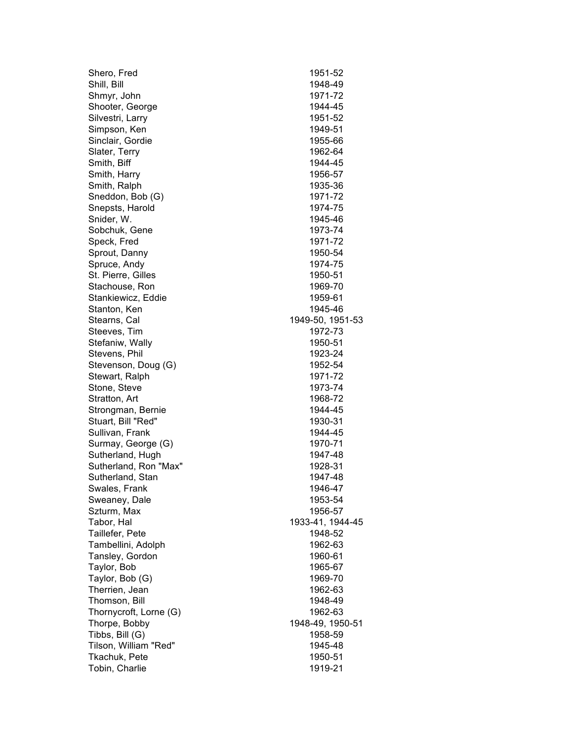| Shero, Fred            | 1951-52          |
|------------------------|------------------|
| Shill, Bill            | 1948-49          |
| Shmyr, John            | 1971-72          |
| Shooter, George        | 1944-45          |
| Silvestri, Larry       | 1951-52          |
| Simpson, Ken           | 1949-51          |
| Sinclair, Gordie       | 1955-66          |
| Slater, Terry          | 1962-64          |
| Smith, Biff            | 1944-45          |
| Smith, Harry           | 1956-57          |
| Smith, Ralph           | 1935-36          |
| Sneddon, Bob (G)       | 1971-72          |
| Snepsts, Harold        | 1974-75          |
| Snider, W.             | 1945-46          |
| Sobchuk, Gene          | 1973-74          |
| Speck, Fred            | 1971-72          |
| Sprout, Danny          | 1950-54          |
| Spruce, Andy           | 1974-75          |
| St. Pierre, Gilles     | 1950-51          |
| Stachouse, Ron         | 1969-70          |
| Stankiewicz, Eddie     | 1959-61          |
| Stanton, Ken           | 1945-46          |
| Stearns, Cal           | 1949-50, 1951-53 |
| Steeves, Tim           | 1972-73          |
| Stefaniw, Wally        | 1950-51          |
| Stevens, Phil          | 1923-24          |
| Stevenson, Doug (G)    | 1952-54          |
| Stewart, Ralph         | 1971-72          |
| Stone, Steve           | 1973-74          |
| Stratton, Art          | 1968-72          |
| Strongman, Bernie      | 1944-45          |
| Stuart, Bill "Red"     | 1930-31          |
| Sullivan, Frank        | 1944-45          |
| Surmay, George (G)     | 1970-71          |
| Sutherland, Hugh       | 1947-48          |
| Sutherland, Ron "Max"  | 1928-31          |
| Sutherland, Stan       | 1947-48          |
| Swales, Frank          | 1946-47          |
| Sweaney, Dale          | 1953-54          |
| Szturm, Max            | 1956-57          |
| Tabor, Hal             | 1933-41, 1944-45 |
| Taillefer, Pete        | 1948-52          |
| Tambellini, Adolph     | 1962-63          |
| Tansley, Gordon        | 1960-61          |
| Taylor, Bob            | 1965-67          |
| Taylor, Bob (G)        | 1969-70          |
| Therrien, Jean         | 1962-63          |
| Thomson, Bill          | 1948-49          |
| Thornycroft, Lorne (G) | 1962-63          |
| Thorpe, Bobby          | 1948-49, 1950-51 |
| Tibbs, Bill (G)        | 1958-59          |
| Tilson, William "Red"  | 1945-48          |
| Tkachuk, Pete          | 1950-51          |
| Tobin, Charlie         | 1919-21          |